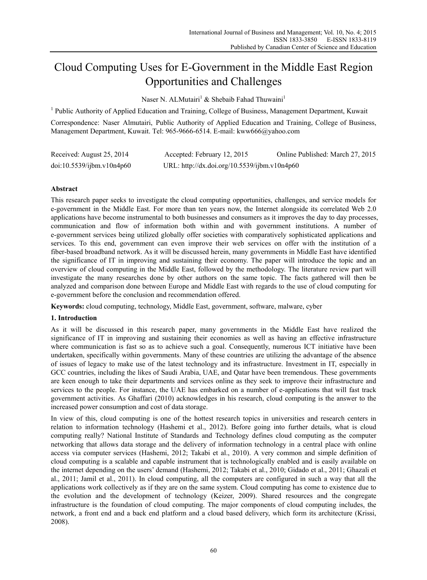# Cloud Computing Uses for E-Government in the Middle East Region Opportunities and Challenges

Naser N. ALMutairi<sup>1</sup> & Shebaib Fahad Thuwaini<sup>1</sup>

<sup>1</sup> Public Authority of Applied Education and Training, College of Business, Management Department, Kuwait

Correspondence: Naser Almutairi, Public Authority of Applied Education and Training, College of Business, Management Department, Kuwait. Tel: 965-9666-6514. E-mail: kww666@yahoo.com

| Received: August 25, 2014 | Accepted: February 12, 2015                  | Online Published: March 27, 2015 |
|---------------------------|----------------------------------------------|----------------------------------|
| doi:10.5539/ijbm.v10n4p60 | URL: http://dx.doi.org/10.5539/ijbm.v10n4p60 |                                  |

# **Abstract**

This research paper seeks to investigate the cloud computing opportunities, challenges, and service models for e-government in the Middle East. For more than ten years now, the Internet alongside its correlated Web 2.0 applications have become instrumental to both businesses and consumers as it improves the day to day processes, communication and flow of information both within and with government institutions. A number of e-government services being utilized globally offer societies with comparatively sophisticated applications and services. To this end, government can even improve their web services on offer with the institution of a fiber-based broadband network. As it will be discussed herein, many governments in Middle East have identified the significance of IT in improving and sustaining their economy. The paper will introduce the topic and an overview of cloud computing in the Middle East, followed by the methodology. The literature review part will investigate the many researches done by other authors on the same topic. The facts gathered will then be analyzed and comparison done between Europe and Middle East with regards to the use of cloud computing for e-government before the conclusion and recommendation offered.

**Keywords:** cloud computing, technology, Middle East, government, software, malware, cyber

# **1. Introduction**

As it will be discussed in this research paper, many governments in the Middle East have realized the significance of IT in improving and sustaining their economies as well as having an effective infrastructure where communication is fast so as to achieve such a goal. Consequently, numerous ICT initiative have been undertaken, specifically within governments. Many of these countries are utilizing the advantage of the absence of issues of legacy to make use of the latest technology and its infrastructure. Investment in IT, especially in GCC countries, including the likes of Saudi Arabia, UAE, and Qatar have been tremendous. These governments are keen enough to take their departments and services online as they seek to improve their infrastructure and services to the people. For instance, the UAE has embarked on a number of e-applications that will fast track government activities. As Ghaffari (2010) acknowledges in his research, cloud computing is the answer to the increased power consumption and cost of data storage.

In view of this, cloud computing is one of the hottest research topics in universities and research centers in relation to information technology (Hashemi et al., 2012). Before going into further details, what is cloud computing really? National Institute of Standards and Technology defines cloud computing as the computer networking that allows data storage and the delivery of information technology in a central place with online access via computer services (Hashemi, 2012; Takabi et al., 2010). A very common and simple definition of cloud computing is a scalable and capable instrument that is technologically enabled and is easily available on the internet depending on the users' demand (Hashemi, 2012; Takabi et al., 2010; Gidado et al., 2011; Ghazali et al., 2011; Jamil et al., 2011). In cloud computing, all the computers are configured in such a way that all the applications work collectively as if they are on the same system. Cloud computing has come to existence due to the evolution and the development of technology (Keizer, 2009). Shared resources and the congregate infrastructure is the foundation of cloud computing. The major components of cloud computing includes, the network, a front end and a back end platform and a cloud based delivery, which form its architecture (Krissi, 2008).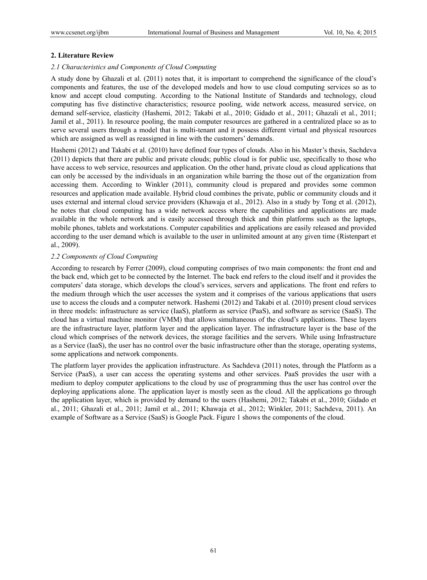# **2. Literature Review**

# *2.1 Characteristics and Components of Cloud Computing*

A study done by Ghazali et al. (2011) notes that, it is important to comprehend the significance of the cloud's components and features, the use of the developed models and how to use cloud computing services so as to know and accept cloud computing. According to the National Institute of Standards and technology, cloud computing has five distinctive characteristics; resource pooling, wide network access, measured service, on demand self-service, elasticity (Hashemi, 2012; Takabi et al., 2010; Gidado et al., 2011; Ghazali et al., 2011; Jamil et al., 2011). In resource pooling, the main computer resources are gathered in a centralized place so as to serve several users through a model that is multi-tenant and it possess different virtual and physical resources which are assigned as well as reassigned in line with the customers' demands.

Hashemi (2012) and Takabi et al. (2010) have defined four types of clouds. Also in his Master's thesis, Sachdeva (2011) depicts that there are public and private clouds; public cloud is for public use, specifically to those who have access to web service, resources and application. On the other hand, private cloud as cloud applications that can only be accessed by the individuals in an organization while barring the those out of the organization from accessing them. According to Winkler (2011), community cloud is prepared and provides some common resources and application made available. Hybrid cloud combines the private, public or community clouds and it uses external and internal cloud service providers (Khawaja et al., 2012). Also in a study by Tong et al. (2012), he notes that cloud computing has a wide network access where the capabilities and applications are made available in the whole network and is easily accessed through thick and thin platforms such as the laptops, mobile phones, tablets and workstations. Computer capabilities and applications are easily released and provided according to the user demand which is available to the user in unlimited amount at any given time (Ristenpart et al., 2009).

#### *2.2 Components of Cloud Computing*

According to research by Ferrer (2009), cloud computing comprises of two main components: the front end and the back end, which get to be connected by the Internet. The back end refers to the cloud itself and it provides the computers' data storage, which develops the cloud's services, servers and applications. The front end refers to the medium through which the user accesses the system and it comprises of the various applications that users use to access the clouds and a computer network. Hashemi (2012) and Takabi et al. (2010) present cloud services in three models: infrastructure as service (IaaS), platform as service (PaaS), and software as service (SaaS). The cloud has a virtual machine monitor (VMM) that allows simultaneous of the cloud's applications. These layers are the infrastructure layer, platform layer and the application layer. The infrastructure layer is the base of the cloud which comprises of the network devices, the storage facilities and the servers. While using Infrastructure as a Service (IaaS), the user has no control over the basic infrastructure other than the storage, operating systems, some applications and network components.

The platform layer provides the application infrastructure. As Sachdeva (2011) notes, through the Platform as a Service (PaaS), a user can access the operating systems and other services. PaaS provides the user with a medium to deploy computer applications to the cloud by use of programming thus the user has control over the deploying applications alone. The application layer is mostly seen as the cloud. All the applications go through the application layer, which is provided by demand to the users (Hashemi, 2012; Takabi et al., 2010; Gidado et al., 2011; Ghazali et al., 2011; Jamil et al., 2011; Khawaja et al., 2012; Winkler, 2011; Sachdeva, 2011). An example of Software as a Service (SaaS) is Google Pack. Figure 1 shows the components of the cloud.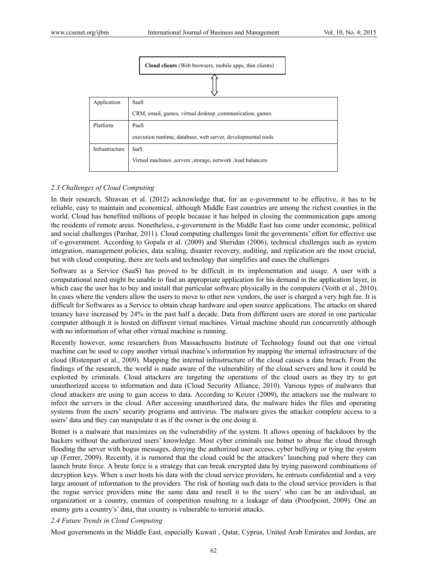

#### *2.3 Challenges of Cloud Computing*

In their research, Shravan et al. (2012) acknowledge that, for an e-government to be effective, it has to be reliable, easy to maintain and economical, although Middle East countries are among the richest counties in the world. Cloud has benefited millions of people because it has helped in closing the communication gaps among the residents of remote areas. Nonetheless, e-government in the Middle East has come under economic, political and social challenges (Parihar, 2011). Cloud computing challenges limit the governments' effort for effective use of e-government. According to Gopala et al. (2009) and Sheridan (2006), technical challenges such as system integration, management policies, data scaling, disaster recovery, auditing, and replication are the most crucial, but with cloud computing, there are tools and technology that simplifies and eases the challenges

Software as a Service (SaaS) has proved to be difficult in its implementation and usage. A user with a computational need might be unable to find an appropriate application for his demand in the application layer, in which case the user has to buy and install that particular software physically in the computers (Voith et al., 2010). In cases where the venders allow the users to move to other new vendors, the user is charged a very high fee. It is difficult for Softwares as a Service to obtain cheap hardware and open source applications. The attacks on shared tenancy have increased by 24% in the past half a decade. Data from different users are stored in one particular computer although it is hosted on different virtual machines. Virtual machine should run concurrently although with no information of what other virtual machine is running.

Recently however, some researchers from Massachusetts Institute of Technology found out that one virtual machine can be used to copy another virtual machine's information by mapping the internal infrastructure of the cloud (Ristenpart et al., 2009). Mapping the internal infrastructure of the cloud causes a data breach. From the findings of the research, the world is made aware of the vulnerability of the cloud servers and how it could be exploited by criminals. Cloud attackers are targeting the operations of the cloud users as they try to get unauthorized access to information and data (Cloud Security Alliance, 2010). Various types of malwares that cloud attackers are using to gain access to data. According to Keizer (2009), the attackers use the malware to infect the servers in the cloud. After accessing unauthorized data, the malware hides the files and operating systems from the users' security programs and antivirus. The malware gives the attacker complete access to a users' data and they can manipulate it as if the owner is the one doing it.

Botnet is a malware that maximizes on the vulnerability of the system. It allows opening of backdoors by the hackers without the authorized users' knowledge. Most cyber criminals use botnet to abuse the cloud through flooding the server with bogus messages, denying the authorized user access, cyber bullying or tying the system up (Ferrer, 2009). Recently, it is rumored that the cloud could be the attackers' launching pad where they can launch brute force. A brute force is a strategy that can break encrypted data by trying password combinations of decryption keys. When a user hosts his data with the cloud service providers, he entrusts confidential and a very large amount of information to the providers. The risk of hosting such data to the cloud service providers is that the rogue service providers mine the same data and resell it to the users' who can be an individual, an organization or a country, enemies of competition resulting to a leakage of data (Proofpoint, 2009). One an enemy gets a country's' data, that country is vulnerable to terrorist attacks.

### *2.4 Future Trends in Cloud Computing*

Most governments in the Middle East, especially Kuwait , Qatar, Cyprus, United Arab Emirates and Jordan, are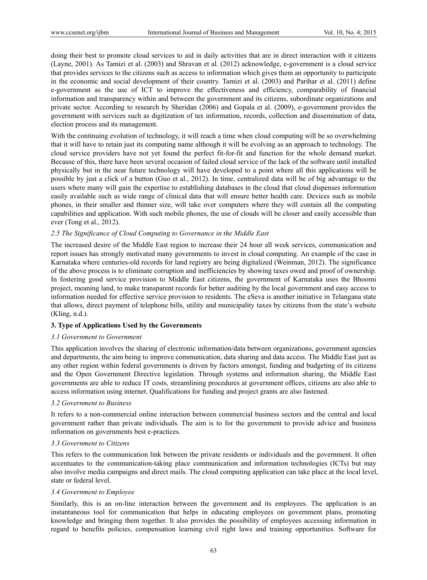doing their best to promote cloud services to aid in daily activities that are in direct interaction with it citizens (Layne, 2001). As Tamizi et al. (2003) and Shravan et al. (2012) acknowledge, e-government is a cloud service that provides services to the citizens such as access to information which gives them an opportunity to participate in the economic and social development of their country. Tamizi et al. (2003) and Parihar et al. (2011) define e-government as the use of ICT to improve the effectiveness and efficiency, comparability of financial information and transparency within and between the government and its citizens, subordinate organizations and private sector. According to research by Sheridan (2006) and Gopala et al. (2009), e-government provides the government with services such as digitization of tax information, records, collection and dissemination of data, election process and its management.

With the continuing evolution of technology, it will reach a time when cloud computing will be so overwhelming that it will have to retain just its computing name although it will be evolving as an approach to technology. The cloud service providers have not yet found the perfect fit-for-fit and function for the whole demand market. Because of this, there have been several occasion of failed cloud service of the lack of the software until installed physically but in the near future technology will have developed to a point where all this applications will be possible by just a click of a button (Guo et al., 2012). In time, centralized data will be of big advantage to the users where many will gain the expertise to establishing databases in the cloud that cloud dispenses information easily available such as wide range of clinical data that will ensure better health care. Devices such as mobile phones, in their smaller and thinner size, will take over computers where they will contain all the computing capabilities and application. With such mobile phones, the use of clouds will be closer and easily accessible than ever (Tong et al., 2012).

# *2.5 The Significance of Cloud Computing to Governance in the Middle East*

The increased desire of the Middle East region to increase their 24 hour all week services, communication and report issues has strongly motivated many governments to invest in cloud computing. An example of the case in Karnataka where centuries-old records for land registry are being digitalized (Weinman, 2012). The significance of the above process is to eliminate corruption and inefficiencies by showing taxes owed and proof of ownership. In fostering good service provision to Middle East citizens, the government of Karnataka uses the Bhoomi project, meaning land, to make transparent records for better auditing by the local government and easy access to information needed for effective service provision to residents. The eSeva is another initiative in Telangana state that allows, direct payment of telephone bills, utility and municipality taxes by citizens from the state's website (Kling, n.d.).

# **3. Type of Applications Used by the Governments**

# *3.1 Government to Government*

This application involves the sharing of electronic information/data between organizations, government agencies and departments, the aim being to improve communication, data sharing and data access. The Middle East just as any other region within federal governments is driven by factors amongst, funding and budgeting of its citizens and the Open Government Directive legislation. Through systems and information sharing, the Middle East governments are able to reduce IT costs, streamlining procedures at government offices, citizens are also able to access information using internet. Qualifications for funding and project grants are also fastened.

# *3.2 Government to Business*

It refers to a non-commercial online interaction between commercial business sectors and the central and local government rather than private individuals. The aim is to for the government to provide advice and business information on governments best e-practices.

# *3.3 Government to Citizens*

This refers to the communication link between the private residents or individuals and the government. It often accentuates to the communication-taking place communication and information technologies (ICTs) but may also involve media campaigns and direct mails. The cloud computing application can take place at the local level, state or federal level.

# *3.4 Government to Employee*

Similarly, this is an on-line interaction between the government and its employees. The application is an instantaneous tool for communication that helps in educating employees on government plans, promoting knowledge and bringing them together. It also provides the possibility of employees accessing information in regard to benefits policies, compensation learning civil right laws and training opportunities. Software for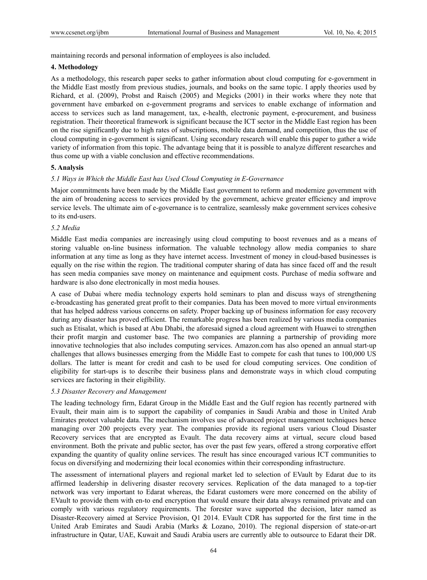maintaining records and personal information of employees is also included.

#### **4. Methodology**

As a methodology, this research paper seeks to gather information about cloud computing for e-government in the Middle East mostly from previous studies, journals, and books on the same topic. I apply theories used by Richard, et al. (2009), Probst and Raisch (2005) and Megicks (2001) in their works where they note that government have embarked on e-government programs and services to enable exchange of information and access to services such as land management, tax, e-health, electronic payment, e-procurement, and business registration. Their theoretical framework is significant because the ICT sector in the Middle East region has been on the rise significantly due to high rates of subscriptions, mobile data demand, and competition, thus the use of cloud computing in e-government is significant. Using secondary research will enable this paper to gather a wide variety of information from this topic. The advantage being that it is possible to analyze different researches and thus come up with a viable conclusion and effective recommendations.

#### **5. Analysis**

#### *5.1 Ways in Which the Middle East has Used Cloud Computing in E-Governance*

Major commitments have been made by the Middle East government to reform and modernize government with the aim of broadening access to services provided by the government, achieve greater efficiency and improve service levels. The ultimate aim of e-governance is to centralize, seamlessly make government services cohesive to its end-users.

### *5.2 Media*

Middle East media companies are increasingly using cloud computing to boost revenues and as a means of storing valuable on-line business information. The valuable technology allow media companies to share information at any time as long as they have internet access. Investment of money in cloud-based businesses is equally on the rise within the region. The traditional computer sharing of data has since faced off and the result has seen media companies save money on maintenance and equipment costs. Purchase of media software and hardware is also done electronically in most media houses.

A case of Dubai where media technology experts hold seminars to plan and discuss ways of strengthening e-broadcasting has generated great profit to their companies. Data has been moved to more virtual environments that has helped address various concerns on safety. Proper backing up of business information for easy recovery during any disaster has proved efficient. The remarkable progress has been realized by various media companies such as Etisalat, which is based at Abu Dhabi, the aforesaid signed a cloud agreement with Huawei to strengthen their profit margin and customer base. The two companies are planning a partnership of providing more innovative technologies that also includes computing services. Amazon.com has also opened an annual start-up challenges that allows businesses emerging from the Middle East to compete for cash that tunes to 100,000 US dollars. The latter is meant for credit and cash to be used for cloud computing services. One condition of eligibility for start-ups is to describe their business plans and demonstrate ways in which cloud computing services are factoring in their eligibility.

#### *5.3 Disaster Recovery and Management*

The leading technology firm, Edarat Group in the Middle East and the Gulf region has recently partnered with Evault, their main aim is to support the capability of companies in Saudi Arabia and those in United Arab Emirates protect valuable data. The mechanism involves use of advanced project management techniques hence managing over 200 projects every year. The companies provide its regional users various Cloud Disaster Recovery services that are encrypted as Evault. The data recovery aims at virtual, secure cloud based environment. Both the private and public sector, has over the past few years, offered a strong corporative effort expanding the quantity of quality online services. The result has since encouraged various ICT communities to focus on diversifying and modernizing their local economies within their corresponding infrastructure.

The assessment of international players and regional market led to selection of EVault by Edarat due to its affirmed leadership in delivering disaster recovery services. Replication of the data managed to a top-tier network was very important to Edarat whereas, the Edarat customers were more concerned on the ability of EVault to provide them with en-to end encryption that would ensure their data always remained private and can comply with various regulatory requirements. The forester wave supported the decision, later named as Disaster-Recovery aimed at Service Provision, Q1 2014. EVault CDR has supported for the first time in the United Arab Emirates and Saudi Arabia (Marks & Lozano, 2010). The regional dispersion of state-or-art infrastructure in Qatar, UAE, Kuwait and Saudi Arabia users are currently able to outsource to Edarat their DR.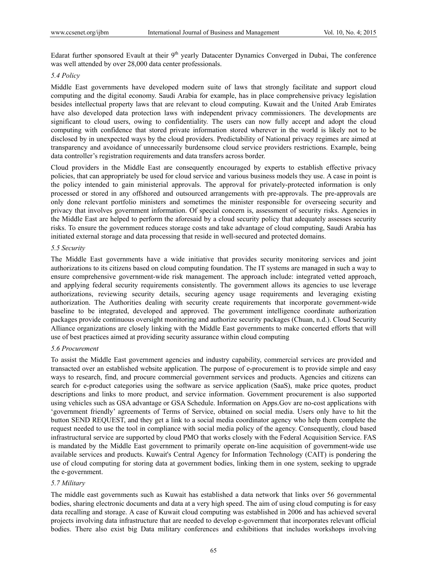Edarat further sponsored Evault at their  $9<sup>th</sup>$  yearly Datacenter Dynamics Converged in Dubai, The conference was well attended by over 28,000 data center professionals.

#### *5.4 Policy*

Middle East governments have developed modern suite of laws that strongly facilitate and support cloud computing and the digital economy. Saudi Arabia for example, has in place comprehensive privacy legislation besides intellectual property laws that are relevant to cloud computing. Kuwait and the United Arab Emirates have also developed data protection laws with independent privacy commissioners. The developments are significant to cloud users, owing to confidentiality. The users can now fully accept and adopt the cloud computing with confidence that stored private information stored wherever in the world is likely not to be disclosed by in unexpected ways by the cloud providers. Predictability of National privacy regimes are aimed at transparency and avoidance of unnecessarily burdensome cloud service providers restrictions. Example, being data controller's registration requirements and data transfers across border.

Cloud providers in the Middle East are consequently encouraged by experts to establish effective privacy policies, that can appropriately be used for cloud service and various business models they use. A case in point is the policy intended to gain ministerial approvals. The approval for privately-protected information is only processed or stored in any offshored and outsourced arrangements with pre-approvals. The pre-approvals are only done relevant portfolio ministers and sometimes the minister responsible for overseeing security and privacy that involves government information. Of special concern is, assessment of security risks. Agencies in the Middle East are helped to perform the aforesaid by a cloud security policy that adequately assesses security risks. To ensure the government reduces storage costs and take advantage of cloud computing, Saudi Arabia has initiated external storage and data processing that reside in well-secured and protected domains.

#### *5.5 Security*

The Middle East governments have a wide initiative that provides security monitoring services and joint authorizations to its citizens based on cloud computing foundation. The IT systems are managed in such a way to ensure comprehensive government-wide risk management. The approach include: integrated vetted approach, and applying federal security requirements consistently. The government allows its agencies to use leverage authorizations, reviewing security details, securing agency usage requirements and leveraging existing authorization. The Authorities dealing with security create requirements that incorporate government-wide baseline to be integrated, developed and approved. The government intelligence coordinate authorization packages provide continuous oversight monitoring and authorize security packages (Chuan, n.d.). Cloud Security Alliance organizations are closely linking with the Middle East governments to make concerted efforts that will use of best practices aimed at providing security assurance within cloud computing

### *5.6 Procurement*

To assist the Middle East government agencies and industry capability, commercial services are provided and transacted over an established website application. The purpose of e-procurement is to provide simple and easy ways to research, find, and procure commercial government services and products. Agencies and citizens can search for e-product categories using the software as service application (SaaS), make price quotes, product descriptions and links to more product, and service information. Government procurement is also supported using vehicles such as GSA advantage or GSA Schedule. Information on Apps.Gov are no-cost applications with 'government friendly' agreements of Terms of Service, obtained on social media. Users only have to hit the button SEND REQUEST, and they get a link to a social media coordinator agency who help them complete the request needed to use the tool in compliance with social media policy of the agency. Consequently, cloud based infrastructural service are supported by cloud PMO that works closely with the Federal Acquisition Service. FAS is mandated by the Middle East government to primarily operate on-line acquisition of government-wide use available services and products. Kuwait's Central Agency for Information Technology (CAIT) is pondering the use of cloud computing for storing data at government bodies, linking them in one system, seeking to upgrade the e-government.

# *5.7 Military*

The middle east governments such as Kuwait has established a data network that links over 56 governmental bodies, sharing electronic documents and data at a very high speed. The aim of using cloud computing is for easy data recalling and storage. A case of Kuwait cloud computing was established in 2006 and has achieved several projects involving data infrastructure that are needed to develop e-government that incorporates relevant official bodies. There also exist big Data military conferences and exhibitions that includes workshops involving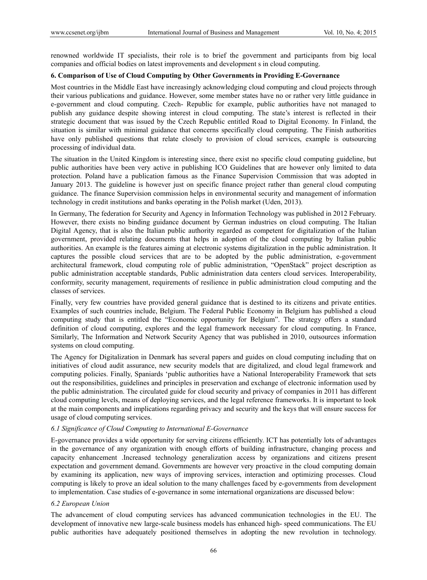renowned worldwide IT specialists, their role is to brief the government and participants from big local companies and official bodies on latest improvements and development s in cloud computing.

# **6. Comparison of Use of Cloud Computing by Other Governments in Providing E-Governance**

Most countries in the Middle East have increasingly acknowledging cloud computing and cloud projects through their various publications and guidance. However, some member states have no or rather very little guidance in e-government and cloud computing. Czech- Republic for example, public authorities have not managed to publish any guidance despite showing interest in cloud computing. The state's interest is reflected in their strategic document that was issued by the Czech Republic entitled Road to Digital Economy. In Finland, the situation is similar with minimal guidance that concerns specifically cloud computing. The Finish authorities have only published questions that relate closely to provision of cloud services, example is outsourcing processing of individual data.

The situation in the United Kingdom is interesting since, there exist no specific cloud computing guideline, but public authorities have been very active in publishing ICO Guidelines that are however only limited to data protection. Poland have a publication famous as the Finance Supervision Commission that was adopted in January 2013. The guideline is however just on specific finance project rather than general cloud computing guidance. The finance Supervision commission helps in environmental security and management of information technology in credit institutions and banks operating in the Polish market (Uden, 2013).

In Germany, The federation for Security and Agency in Information Technology was published in 2012 February. However, there exists no binding guidance document by German industries on cloud computing. The Italian Digital Agency, that is also the Italian public authority regarded as competent for digitalization of the Italian government, provided relating documents that helps in adoption of the cloud computing by Italian public authorities. An example is the features aiming at electronic systems digitalization in the public administration. It captures the possible cloud services that are to be adopted by the public administration, e-government architectural framework, cloud computing role of public administration, "OpenStack" project description as public administration acceptable standards, Public administration data centers cloud services. Interoperability, conformity, security management, requirements of resilience in public administration cloud computing and the classes of services.

Finally, very few countries have provided general guidance that is destined to its citizens and private entities. Examples of such countries include, Belgium. The Federal Public Economy in Belgium has published a cloud computing study that is entitled the "Economic opportunity for Belgium". The strategy offers a standard definition of cloud computing, explores and the legal framework necessary for cloud computing. In France, Similarly, The Information and Network Security Agency that was published in 2010, outsources information systems on cloud computing.

The Agency for Digitalization in Denmark has several papers and guides on cloud computing including that on initiatives of cloud audit assurance, new security models that are digitalized, and cloud legal framework and computing policies. Finally, Spaniards 'public authorities have a National Interoperability Framework that sets out the responsibilities, guidelines and principles in preservation and exchange of electronic information used by the public administration. The circulated guide for cloud security and privacy of companies in 2011 has different cloud computing levels, means of deploying services, and the legal reference frameworks. It is important to look at the main components and implications regarding privacy and security and the keys that will ensure success for usage of cloud computing services.

#### *6.1 Significance of Cloud Computing to International E-Governance*

E-governance provides a wide opportunity for serving citizens efficiently. ICT has potentially lots of advantages in the governance of any organization with enough efforts of building infrastructure, changing process and capacity enhancement .Increased technology generalization access by organizations and citizens present expectation and government demand. Governments are however very proactive in the cloud computing domain by examining its application, new ways of improving services, interaction and optimizing processes. Cloud computing is likely to prove an ideal solution to the many challenges faced by e-governments from development to implementation. Case studies of e-governance in some international organizations are discussed below:

#### *6.2 European Union*

The advancement of cloud computing services has advanced communication technologies in the EU. The development of innovative new large-scale business models has enhanced high- speed communications. The EU public authorities have adequately positioned themselves in adopting the new revolution in technology.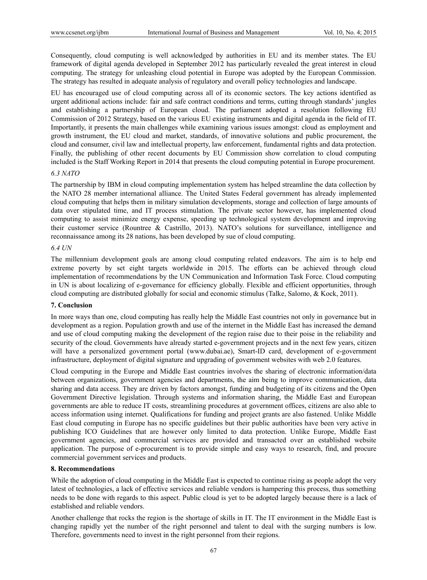Consequently, cloud computing is well acknowledged by authorities in EU and its member states. The EU framework of digital agenda developed in September 2012 has particularly revealed the great interest in cloud computing. The strategy for unleashing cloud potential in Europe was adopted by the European Commission. The strategy has resulted in adequate analysis of regulatory and overall policy technologies and landscape.

EU has encouraged use of cloud computing across all of its economic sectors. The key actions identified as urgent additional actions include: fair and safe contract conditions and terms, cutting through standards' jungles and establishing a partnership of European cloud. The parliament adopted a resolution following EU Commission of 2012 Strategy, based on the various EU existing instruments and digital agenda in the field of IT. Importantly, it presents the main challenges while examining various issues amongst: cloud as employment and growth instrument, the EU cloud and market, standards, of innovative solutions and public procurement, the cloud and consumer, civil law and intellectual property, law enforcement, fundamental rights and data protection. Finally, the publishing of other recent documents by EU Commission show correlation to cloud computing included is the Staff Working Report in 2014 that presents the cloud computing potential in Europe procurement.

#### *6.3 NATO*

The partnership by IBM in cloud computing implementation system has helped streamline the data collection by the NATO 28 member international alliance. The United States Federal government has already implemented cloud computing that helps them in military simulation developments, storage and collection of large amounts of data over stipulated time, and IT process stimulation. The private sector however, has implemented cloud computing to assist minimize energy expense, speeding up technological system development and improving their customer service (Rountree & Castrillo, 2013). NATO's solutions for surveillance, intelligence and reconnaissance among its 28 nations, has been developed by sue of cloud computing.

# *6.4 UN*

The millennium development goals are among cloud computing related endeavors. The aim is to help end extreme poverty by set eight targets worldwide in 2015. The efforts can be achieved through cloud implementation of recommendations by the UN Communication and Information Task Force. Cloud computing in UN is about localizing of e-governance for efficiency globally. Flexible and efficient opportunities, through cloud computing are distributed globally for social and economic stimulus (Talke, Salomo, & Kock, 2011).

#### **7. Conclusion**

In more ways than one, cloud computing has really help the Middle East countries not only in governance but in development as a region. Population growth and use of the internet in the Middle East has increased the demand and use of cloud computing making the development of the region raise due to their poise in the reliability and security of the cloud. Governments have already started e-government projects and in the next few years, citizen will have a personalized government portal (www.dubai.ae), Smart-ID card, development of e-government infrastructure, deployment of digital signature and upgrading of government websites with web 2.0 features.

Cloud computing in the Europe and Middle East countries involves the sharing of electronic information/data between organizations, government agencies and departments, the aim being to improve communication, data sharing and data access. They are driven by factors amongst, funding and budgeting of its citizens and the Open Government Directive legislation. Through systems and information sharing, the Middle East and European governments are able to reduce IT costs, streamlining procedures at government offices, citizens are also able to access information using internet. Qualifications for funding and project grants are also fastened. Unlike Middle East cloud computing in Europe has no specific guidelines but their public authorities have been very active in publishing ICO Guidelines that are however only limited to data protection. Unlike Europe, Middle East government agencies, and commercial services are provided and transacted over an established website application. The purpose of e-procurement is to provide simple and easy ways to research, find, and procure commercial government services and products.

## **8. Recommendations**

While the adoption of cloud computing in the Middle East is expected to continue rising as people adopt the very latest of technologies, a lack of effective services and reliable vendors is hampering this process, thus something needs to be done with regards to this aspect. Public cloud is yet to be adopted largely because there is a lack of established and reliable vendors.

Another challenge that rocks the region is the shortage of skills in IT. The IT environment in the Middle East is changing rapidly yet the number of the right personnel and talent to deal with the surging numbers is low. Therefore, governments need to invest in the right personnel from their regions.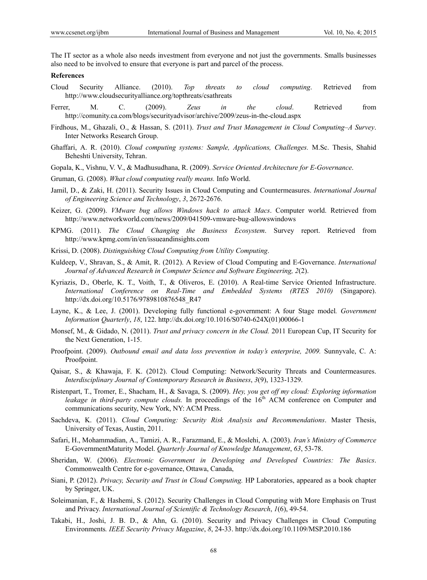The IT sector as a whole also needs investment from everyone and not just the governments. Smalls businesses also need to be involved to ensure that everyone is part and parcel of the process.

#### **References**

- Cloud Security Alliance. (2010). *Top threats to cloud computing*. Retrieved from http://www.cloudsecurityalliance.org/topthreats/csathreats
- Ferrer, M. C. (2009). *Zeus in the cloud*. Retrieved from http://comunity.ca.com/blogs/securityadvisor/archive/2009/zeus-in-the-cloud.aspx
- Firdhous, M., Ghazali, O., & Hassan, S. (2011). *Trust and Trust Management in Cloud Computing*–*A Survey*. Inter Networks Research Group.
- Ghaffari, A. R. (2010). *Cloud computing systems: Sample, Applications, Challenges.* M.Sc. Thesis, Shahid Beheshti University, Tehran.
- Gopala, K., Vishnu, V. V., & Madhusudhana, R. (2009). *Service Oriented Architecture for E-Governance*.

Gruman, G. (2008). *What cloud computing really means.* Info World.

- Jamil, D., & Zaki, H. (2011). Security Issues in Cloud Computing and Countermeasures. *International Journal of Engineering Science and Technology*, *3*, 2672-2676.
- Keizer, G. (2009). *VMware bug allows Windows hack to attack Macs*. Computer world. Retrieved from http://www.networkworld.com/news/2009/041509-vmware-bug-allowswindows
- KPMG. (2011). *The Cloud Changing the Business Ecosystem*. Survey report. Retrieved from http://www.kpmg.com/in/en/issueandinsights.com
- Krissi, D. (2008). *Distinguishing Cloud Computing from Utility Computing*.
- Kuldeep, V., Shravan, S., & Amit, R. (2012). A Review of Cloud Computing and E-Governance. *International Journal of Advanced Research in Computer Science and Software Engineering, 2*(2).
- Kyriazis, D., Oberle, K. T., Voith, T., & Oliveros, E. (2010). A Real-time Service Oriented Infrastructure. *International Conference on Real-Time and Embedded Systems (RTES 2010)* (Singapore). http://dx.doi.org/10.5176/9789810876548\_R47
- Layne, K., & Lee, J. (2001). Developing fully functional e-government: A four Stage model. *Government Information Quarterly*, *18*, 122. http://dx.doi.org/10.1016/S0740-624X(01)00066-1
- Monsef, M., & Gidado, N. (2011). *Trust and privacy concern in the Cloud.* 2011 European Cup, IT Security for the Next Generation, 1-15.
- Proofpoint. (2009). *Outbound email and data loss prevention in today's enterprise, 2009.* Sunnyvale, C. A: Proofpoint.
- Qaisar, S., & Khawaja, F. K. (2012). Cloud Computing: Network/Security Threats and Countermeasures. *Interdisciplinary Journal of Contemporary Research in Business*, *3*(9), 1323-1329.
- Ristenpart, T., Tromer, E., Shacham, H., & Savaga, S. (2009). *Hey, you get off my cloud: Exploring information*  leakage in third-party compute clouds. In proceedings of the 16<sup>th</sup> ACM conference on Computer and communications security, New York, NY: ACM Press.
- Sachdeva, K. (2011). *Cloud Computing: Security Risk Analysis and Recommendations*. Master Thesis, University of Texas, Austin, 2011.
- Safari, H., Mohammadian, A., Tamizi, A. R., Farazmand, E., & Moslehi, A. (2003). *Iran's Ministry of Commerce*  E-GovernmentMaturity Model. *Quarterly Journal of Knowledge Management*, *63*, 53-78.
- Sheridan, W. (2006). *Electronic Government in Developing and Developed Countries: The Basics*. Commonwealth Centre for e-governance, Ottawa, Canada,
- Siani, P. (2012). *Privacy, Security and Trust in Cloud Computing.* HP Laboratories, appeared as a book chapter by Springer, UK.
- Soleimanian, F., & Hashemi, S. (2012). Security Challenges in Cloud Computing with More Emphasis on Trust and Privacy. *International Journal of Scientific & Technology Research*, *1*(6), 49-54.
- Takabi, H., Joshi, J. B. D., & Ahn, G. (2010). Security and Privacy Challenges in Cloud Computing Environments*. IEEE Security Privacy Magazine*, *8*, 24-33. http://dx.doi.org/10.1109/MSP.2010.186